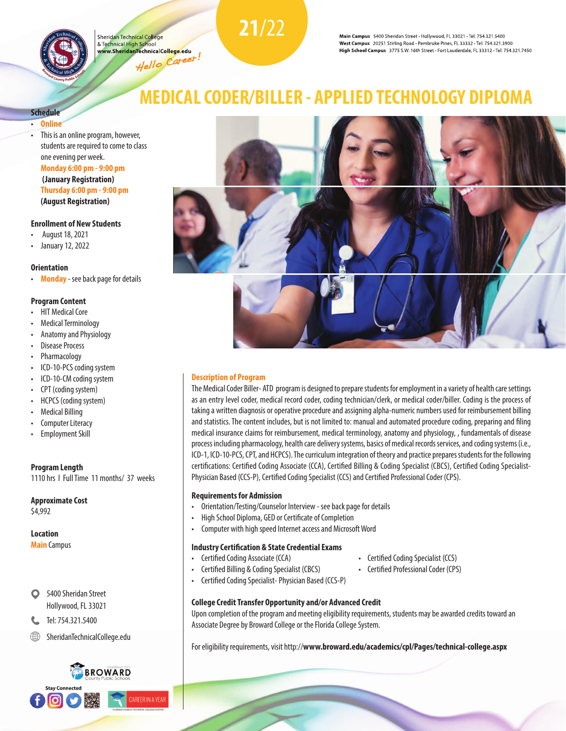

Sheridan Technical College & Technical High School www.SheridanTechnicalCo<mark>llege.</mark>edu Hello Career!<br>Hello Career!

Main Campus 5400 Sheridan Street · Hollywood, FL 33021 · Tel: 754.321.5400 West Campus 20251 Stirling Road · Pembroke Pines, FL 33332 · Tel: 754.321.3900 High School Campus 3775 S.W. 16th Street · Fort Lauderdale, FL 33312 · Tel: 754.321.7450

# **Schedule**

- **Online**
- This is an online program, however, students are required to come to class one evening per week. **Monday 6:00 pm - 9:00 pm**

**(January Registration) Thursday 6:00 pm - 9:00 pm (August Registration)**

### **Enrollment of New Students**

- August 18, 2021
- January 12, 2022

#### **Orientation**

• **Monday** - see back page for details

#### **Program Content**

- HIT Medical Core
- Medical Terminology
- Anatomy and Physiology
- Disease Process
- Pharmacology
- ICD-10-PCS coding system
- ICD-10-CM coding system
- CPT (coding system)
- HCPCS (coding system)
- Medical Billing
- Computer Literacy
- Employment Skill

#### **Program Length** 1110 hrs I Full Time 11 months/ 37 weeks

**Approximate Cost** \$4,992

#### **Location**

**Main** Campus

- 5400 Sheridan Street Hollywood, FL 33021
- Tel: 754.321.5400
- SheridanTechnicalCollege.edu



# **MEDICAL CODER/BILLER - APPLIED TECHNOLOGY DIPLOMA**

**21**/22



#### **Description of Program**

The Medical Coder Biller- ATD program is designed to prepare students for employment in a variety of health care settings as an entry level coder, medical record coder, coding technician/clerk, or medical coder/biller. Coding is the process of taking a written diagnosis or operative procedure and assigning alpha-numeric numbers used for reimbursement billing and statistics. The content includes, but is not limited to: manual and automated procedure coding, preparing and filing medical insurance claims for reimbursement, medical terminology, anatomy and physiology, , fundamentals of disease process including pharmacology, health care delivery systems, basics of medical records services, and coding systems (i.e., ICD-1, ICD-10-PCS, CPT, and HCPCS). The curriculum integration of theory and practice prepares students for the following certifications: Certified Coding Associate (CCA), Certified Billing & Coding Specialist (CBCS), Certified Coding Specialist-Physician Based (CCS-P), Certified Coding Specialist (CCS) and Certified Professional Coder (CPS).

#### **Requirements for Admission**

- Orientation/Testing/Counselor Interview see back page for details
- High School Diploma, GED or Certificate of Completion
- Computer with high speed Internet access and Microsoft Word

## **Industry Certification & State Credential Exams**

- 
- Certified Billing & Coding Specialist (CBCS) Certified Professional Coder (CPS)
- Certified Coding Specialist- Physician Based (CCS-P)
- 
- 

## **College Credit Transfer Opportunity and/or Advanced Credit**

Upon completion of the program and meeting eligibility requirements, students may be awarded credits toward an Associate Degree by Broward College or the Florida College System.

For eligibility requirements, visit http://**www.broward.edu/academics/cpl/Pages/technical-college.aspx**

• Certified Coding Associate (CCA) • Certified Coding Specialist (CCS)